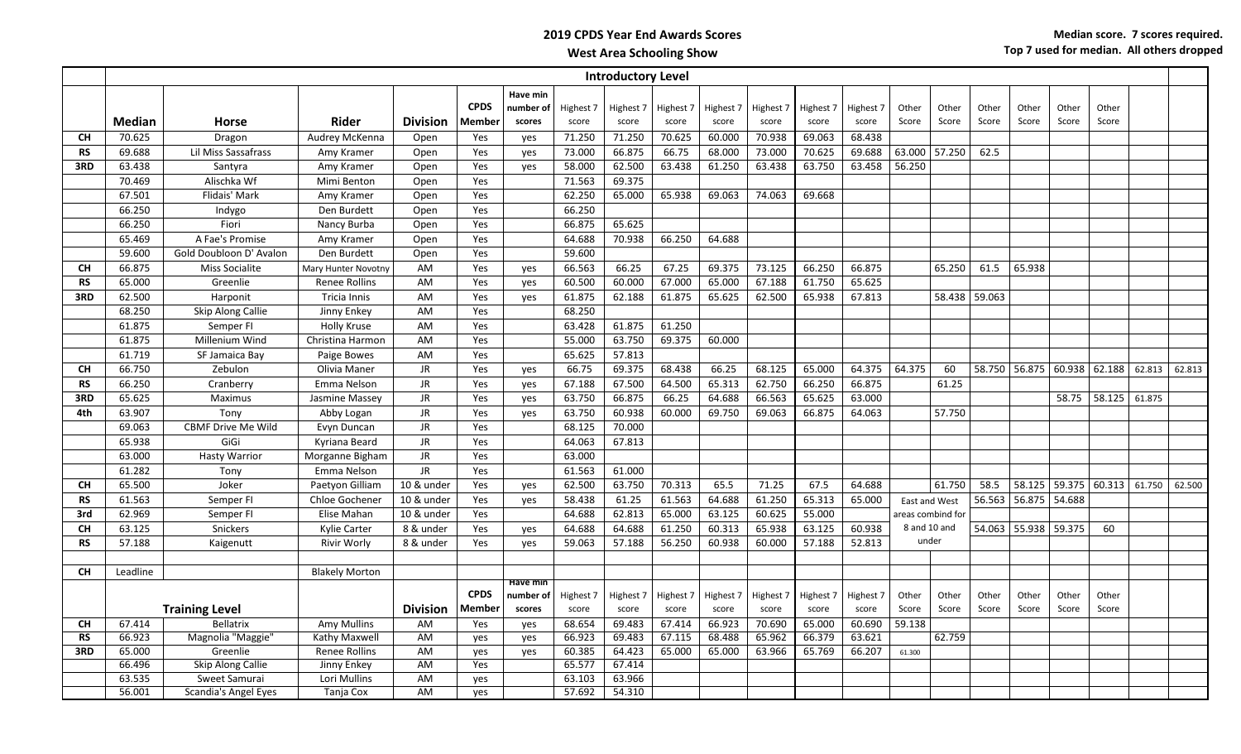|           | <b>Introductory Level</b> |                           |                       |                 |                       |                                 |                    |                    |                    |                    |                    |                    |                    |                   |                |                |                      |                             |                |        |        |
|-----------|---------------------------|---------------------------|-----------------------|-----------------|-----------------------|---------------------------------|--------------------|--------------------|--------------------|--------------------|--------------------|--------------------|--------------------|-------------------|----------------|----------------|----------------------|-----------------------------|----------------|--------|--------|
|           | Median                    | Horse                     | Rider                 | <b>Division</b> | <b>CPDS</b><br>Member | Have min<br>number of<br>scores | Highest 7<br>score | Highest 7<br>score | Highest 7<br>score | Highest 7<br>score | Highest 7<br>score | Highest 7<br>score | Highest 7<br>score | Other<br>Score    | Other<br>Score | Other<br>Score | Other<br>Score       | Other<br>Score              | Other<br>Score |        |        |
| <b>CH</b> | 70.625                    | Dragon                    | Audrey McKenna        | Open            | Yes                   | yes                             | 71.250             | 71.250             | 70.625             | 60.000             | 70.938             | 69.063             | 68.438             |                   |                |                |                      |                             |                |        |        |
| <b>RS</b> | 69.688                    | Lil Miss Sassafrass       | Amy Kramer            | Open            | Yes                   | yes                             | 73.000             | 66.875             | 66.75              | 68.000             | 73.000             | 70.625             | 69.688             | 63.000            | 57.250         | 62.5           |                      |                             |                |        |        |
| 3RD       | 63.438                    | Santyra                   | Amy Kramer            | Open            | Yes                   | yes                             | 58.000             | 62.500             | 63.438             | 61.250             | 63.438             | 63.750             | 63.458             | 56.250            |                |                |                      |                             |                |        |        |
|           | 70.469                    | Alischka Wf               | Mimi Benton           | Open            | Yes                   |                                 | 71.563             | 69.375             |                    |                    |                    |                    |                    |                   |                |                |                      |                             |                |        |        |
|           | 67.501                    | <b>Flidais' Mark</b>      | Amy Kramer            | Open            | Yes                   |                                 | 62.250             | 65.000             | 65.938             | 69.063             | 74.063             | 69.668             |                    |                   |                |                |                      |                             |                |        |        |
|           | 66.250                    | Indygo                    | Den Burdett           | Open            | Yes                   |                                 | 66.250             |                    |                    |                    |                    |                    |                    |                   |                |                |                      |                             |                |        |        |
|           | 66.250                    | Fiori                     | Nancy Burba           | Open            | Yes                   |                                 | 66.875             | 65.625             |                    |                    |                    |                    |                    |                   |                |                |                      |                             |                |        |        |
|           | 65.469                    | A Fae's Promise           | Amy Kramer            | Open            | Yes                   |                                 | 64.688             | 70.938             | 66.250             | 64.688             |                    |                    |                    |                   |                |                |                      |                             |                |        |        |
|           | 59.600                    | Gold Doubloon D' Avalon   | Den Burdett           | Open            | Yes                   |                                 | 59.600             |                    |                    |                    |                    |                    |                    |                   |                |                |                      |                             |                |        |        |
| <b>CH</b> | 66.875                    | <b>Miss Socialite</b>     | Mary Hunter Novotny   | AM              | Yes                   | yes                             | 66.563             | 66.25              | 67.25              | 69.375             | 73.125             | 66.250             | 66.875             |                   | 65.250         | 61.5           | 65.938               |                             |                |        |        |
| <b>RS</b> | 65.000                    | Greenlie                  | Renee Rollins         | AM              | Yes                   | yes                             | 60.500             | 60.000             | 67.000             | 65.000             | 67.188             | 61.750             | 65.625             |                   |                |                |                      |                             |                |        |        |
| 3RD       | 62.500                    | Harponit                  | Tricia Innis          | AM              | Yes                   | yes                             | 61.875             | 62.188             | 61.875             | 65.625             | 62.500             | 65.938             | 67.813             |                   |                | 58.438 59.063  |                      |                             |                |        |        |
|           | 68.250                    | Skip Along Callie         | Jinny Enkey           | AM              | Yes                   |                                 | 68.250             |                    |                    |                    |                    |                    |                    |                   |                |                |                      |                             |                |        |        |
|           | 61.875                    | Semper FI                 | <b>Holly Kruse</b>    | AM              | Yes                   |                                 | 63.428             | 61.875             | 61.250             |                    |                    |                    |                    |                   |                |                |                      |                             |                |        |        |
|           | 61.875                    | Millenium Wind            | Christina Harmon      | AM              | Yes                   |                                 | 55.000             | 63.750             | 69.375             | 60.000             |                    |                    |                    |                   |                |                |                      |                             |                |        |        |
|           | 61.719                    | SF Jamaica Bay            | Paige Bowes           | AM              | Yes                   |                                 | 65.625             | 57.813             |                    |                    |                    |                    |                    |                   |                |                |                      |                             |                |        |        |
| <b>CH</b> | 66.750                    | Zebulon                   | Olivia Maner          | JR.             | Yes                   | yes                             | 66.75              | 69.375             | 68.438             | 66.25              | 68.125             | 65.000             | 64.375             | 64.375            | 60             |                |                      | 58.750 56.875 60.938 62.188 |                | 62.813 | 62.813 |
| <b>RS</b> | 66.250                    | Cranberry                 | Emma Nelson           | <b>JR</b>       | Yes                   | yes                             | 67.188             | 67.500             | 64.500             | 65.313             | 62.750             | 66.250             | 66.875             |                   | 61.25          |                |                      |                             |                |        |        |
| 3RD       | 65.625                    | Maximus                   | Jasmine Massey        | <b>JR</b>       | Yes                   | yes                             | 63.750             | 66.875             | 66.25              | 64.688             | 66.563             | 65.625             | 63.000             |                   |                |                |                      | 58.75                       | 58.125 61.875  |        |        |
| 4th       | 63.907                    | Tony                      | Abby Logan            | JR              | Yes                   | yes                             | 63.750             | 60.938             | 60.000             | 69.750             | 69.063             | 66.875             | 64.063             |                   | 57.750         |                |                      |                             |                |        |        |
|           | 69.063                    | <b>CBMF Drive Me Wild</b> | Evyn Duncan           | <b>JR</b>       | Yes                   |                                 | 68.125             | 70.000             |                    |                    |                    |                    |                    |                   |                |                |                      |                             |                |        |        |
|           | 65.938                    | GiGi                      | Kyriana Beard         | <b>JR</b>       | Yes                   |                                 | 64.063             | 67.813             |                    |                    |                    |                    |                    |                   |                |                |                      |                             |                |        |        |
|           | 63.000                    | <b>Hasty Warrior</b>      | Morganne Bigham       | <b>JR</b>       | Yes                   |                                 | 63.000             |                    |                    |                    |                    |                    |                    |                   |                |                |                      |                             |                |        |        |
|           | 61.282                    | Tony                      | Emma Nelson           | JR.             | Yes                   |                                 | 61.563             | 61.000             |                    |                    |                    |                    |                    |                   |                |                |                      |                             |                |        |        |
| <b>CH</b> | 65.500                    | Joker                     | Paetyon Gilliam       | 10 & under      | Yes                   | yes                             | 62.500             | 63.750             | 70.313             | 65.5               | 71.25              | 67.5               | 64.688             |                   | 61.750         | 58.5           |                      | 58.125 59.375 60.313 61.750 |                |        | 62.500 |
| <b>RS</b> | 61.563                    | Semper FI                 | Chloe Gochener        | 10 & under      | Yes                   | yes                             | 58.438             | 61.25              | 61.563             | 64.688             | 61.250             | 65.313             | 65.000             | East and West     |                |                | 56.563 56.875 54.688 |                             |                |        |        |
| 3rd       | 62.969                    | Semper FI                 | Elise Mahan           | 10 & under      | Yes                   |                                 | 64.688             | 62.813             | 65.000             | 63.125             | 60.625             | 55.000             |                    | areas combind for |                |                |                      |                             |                |        |        |
| <b>CH</b> | 63.125                    | Snickers                  | Kylie Carter          | 8 & under       | Yes                   | yes                             | 64.688             | 64.688             | 61.250             | 60.313             | 65.938             | 63.125             | 60.938             | 8 and 10 and      |                | 54.063         |                      | 55.938 59.375               | 60             |        |        |
| <b>RS</b> | 57.188                    | Kaigenutt                 | <b>Rivir Worly</b>    | 8 & under       | Yes                   | yes                             | 59.063             | 57.188             | 56.250             | 60.938             | 60.000             | 57.188             | 52.813             | under             |                |                |                      |                             |                |        |        |
|           |                           |                           |                       |                 |                       |                                 |                    |                    |                    |                    |                    |                    |                    |                   |                |                |                      |                             |                |        |        |
| <b>CH</b> | Leadline                  |                           | <b>Blakely Morton</b> |                 |                       | Have min                        |                    |                    |                    |                    |                    |                    |                    |                   |                |                |                      |                             |                |        |        |
|           |                           |                           |                       |                 | <b>CPDS</b>           | number of                       | Highest 7          | Highest 7          | Highest 7          | Highest 7          | Highest 7          | Highest 7          | Highest 7          | Other             | Other          | Other          | Other                | Other                       | Other          |        |        |
|           |                           | <b>Training Level</b>     |                       | <b>Division</b> | Member                | scores                          | score              | score              | score              | score              | score              | score              | score              | Score             | Score          | Score          | Score                | Score                       | Score          |        |        |
| <b>CH</b> | 67.414                    | Bellatrix                 | Amy Mullins           | AM              | Yes                   | yes                             | 68.654             | 69.483             | 67.414             | 66.923             | 70.690             | 65.000             | 60.690             | 59.138            |                |                |                      |                             |                |        |        |
| <b>RS</b> | 66.923                    | Magnolia "Maggie"         | Kathy Maxwell         | AM              | yes                   | yes                             | 66.923             | 69.483             | 67.115             | 68.488             | 65.962             | 66.379             | 63.621             |                   | 62.759         |                |                      |                             |                |        |        |
| 3RD       | 65.000                    | Greenlie                  | Renee Rollins         | AM              | yes                   | yes                             | 60.385             | 64.423             | 65.000             | 65.000             | 63.966             | 65.769             | 66.207             | 61.300            |                |                |                      |                             |                |        |        |
|           | 66.496                    | Skip Along Callie         | Jinny Enkey           | AM              | Yes                   |                                 | 65.577             | 67.414             |                    |                    |                    |                    |                    |                   |                |                |                      |                             |                |        |        |
|           | 63.535                    | Sweet Samurai             | Lori Mullins          | AM              | yes                   |                                 | 63.103             | 63.966             |                    |                    |                    |                    |                    |                   |                |                |                      |                             |                |        |        |
|           | 56.001                    | Scandia's Angel Eyes      | Tanja Cox             | AM              | yes                   |                                 | 57.692             | 54.310             |                    |                    |                    |                    |                    |                   |                |                |                      |                             |                |        |        |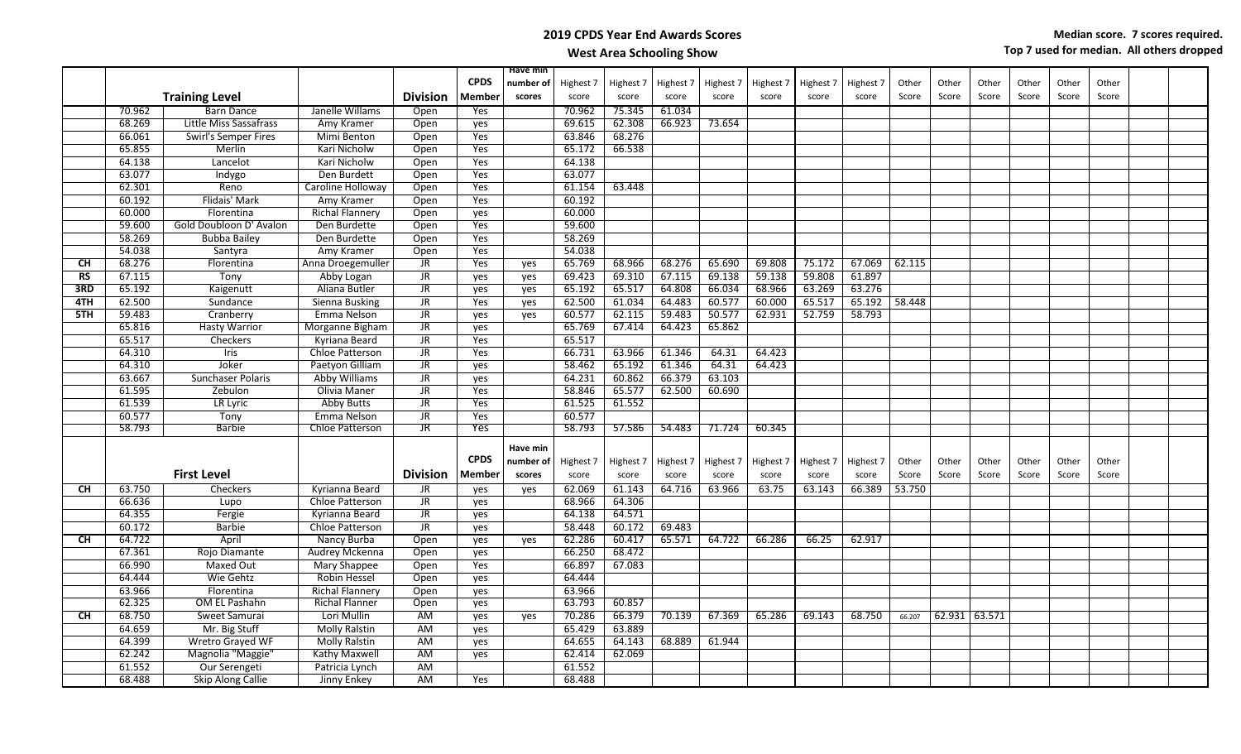|           |        |                             |                        |                 |             | Have min  |           |           |           |           |           |           |           |        |               |       |       |       |       |  |
|-----------|--------|-----------------------------|------------------------|-----------------|-------------|-----------|-----------|-----------|-----------|-----------|-----------|-----------|-----------|--------|---------------|-------|-------|-------|-------|--|
|           |        |                             |                        |                 | <b>CPDS</b> | number of | Highest 7 | Highest 7 | Highest 7 | Highest 7 | Highest 7 | Highest 7 | Highest 7 | Other  | Other         | Other | Other | Other | Other |  |
|           |        | <b>Training Level</b>       |                        | <b>Division</b> | Member      | scores    | score     | score     | score     | score     | score     | score     | score     | Score  | Score         | Score | Score | Score | Score |  |
|           | 70.962 | <b>Barn Dance</b>           | Janelle Willams        | Open            | Yes         |           | 70.962    | 75.345    | 61.034    |           |           |           |           |        |               |       |       |       |       |  |
|           | 68.269 | Little Miss Sassafrass      | Amy Kramer             | Open            | yes         |           | 69.615    | 62.308    | 66.923    | 73.654    |           |           |           |        |               |       |       |       |       |  |
|           | 66.061 | <b>Swirl's Semper Fires</b> | Mimi Benton            | Open            | Yes         |           | 63.846    | 68.276    |           |           |           |           |           |        |               |       |       |       |       |  |
|           | 65.855 | Merlin                      | Kari Nicholw           | Open            | Yes         |           | 65.172    | 66.538    |           |           |           |           |           |        |               |       |       |       |       |  |
|           | 64.138 | Lancelot                    | Kari Nicholw           | Open            | Yes         |           | 64.138    |           |           |           |           |           |           |        |               |       |       |       |       |  |
|           | 63.077 | Indygo                      | Den Burdett            | Open            | Yes         |           | 63.077    |           |           |           |           |           |           |        |               |       |       |       |       |  |
|           | 62.301 | Reno                        | Caroline Holloway      | Open            | Yes         |           | 61.154    | 63.448    |           |           |           |           |           |        |               |       |       |       |       |  |
|           | 60.192 | Flidais' Mark               | Amy Kramer             | Open            | Yes         |           | 60.192    |           |           |           |           |           |           |        |               |       |       |       |       |  |
|           | 60.000 | Florentina                  | <b>Richal Flannery</b> | Open            | yes         |           | 60.000    |           |           |           |           |           |           |        |               |       |       |       |       |  |
|           | 59.600 | Gold Doubloon D' Avalon     | Den Burdette           | Open            | Yes         |           | 59.600    |           |           |           |           |           |           |        |               |       |       |       |       |  |
|           | 58.269 | <b>Bubba Bailey</b>         | Den Burdette           | Open            | Yes         |           | 58.269    |           |           |           |           |           |           |        |               |       |       |       |       |  |
|           | 54.038 | Santyra                     | Amy Kramer             | Open            | Yes         |           | 54.038    |           |           |           |           |           |           |        |               |       |       |       |       |  |
| <b>CH</b> | 68.276 | Florentina                  | Anna Droegemuller      | JR              | Yes         | yes       | 65.769    | 68.966    | 68.276    | 65.690    | 69.808    | 75.172    | 67.069    | 62.115 |               |       |       |       |       |  |
| RS        | 67.115 | Tony                        | Abby Logan             | JR              | yes         | yes       | 69.423    | 69.310    | 67.115    | 69.138    | 59.138    | 59.808    | 61.897    |        |               |       |       |       |       |  |
| 3RD       | 65.192 | Kaigenutt                   | Aliana Butler          | JR              | yes         | yes       | 65.192    | 65.517    | 64.808    | 66.034    | 68.966    | 63.269    | 63.276    |        |               |       |       |       |       |  |
| 4TH       | 62.500 | Sundance                    | Sienna Busking         | JR              | Yes         | yes       | 62.500    | 61.034    | 64.483    | 60.577    | 60.000    | 65.517    | 65.192    | 58.448 |               |       |       |       |       |  |
| 5TH       | 59.483 | Cranberry                   | Emma Nelson            | JR              | yes         | yes       | 60.577    | 62.115    | 59.483    | 50.577    | 62.931    | 52.759    | 58.793    |        |               |       |       |       |       |  |
|           | 65.816 | <b>Hasty Warrior</b>        | Morganne Bigham        | JR              | yes         |           | 65.769    | 67.414    | 64.423    | 65.862    |           |           |           |        |               |       |       |       |       |  |
|           | 65.517 | Checkers                    | Kyriana Beard          | JR              | Yes         |           | 65.517    |           |           |           |           |           |           |        |               |       |       |       |       |  |
|           | 64.310 | Iris                        | Chloe Patterson        | JR              | Yes         |           | 66.731    | 63.966    | 61.346    | 64.31     | 64.423    |           |           |        |               |       |       |       |       |  |
|           | 64.310 | Joker                       | Paetyon Gilliam        | JR              | yes         |           | 58.462    | 65.192    | 61.346    | 64.31     | 64.423    |           |           |        |               |       |       |       |       |  |
|           | 63.667 | <b>Sunchaser Polaris</b>    | Abby Williams          | <b>JR</b>       | yes         |           | 64.231    | 60.862    | 66.379    | 63.103    |           |           |           |        |               |       |       |       |       |  |
|           | 61.595 | Zebulon                     | Olivia Maner           | JR              | Yes         |           | 58.846    | 65.577    | 62.500    | 60.690    |           |           |           |        |               |       |       |       |       |  |
|           | 61.539 | LR Lyric                    | <b>Abby Butts</b>      | JR.             | Yes         |           | 61.525    | 61.552    |           |           |           |           |           |        |               |       |       |       |       |  |
|           | 60.577 | Tony                        | Emma Nelson            | JR              | Yes         |           | 60.577    |           |           |           |           |           |           |        |               |       |       |       |       |  |
|           | 58.793 | <b>Barbie</b>               | <b>Chloe Patterson</b> | <b>JR</b>       | <b>Yes</b>  |           | 58.793    | 57.586    | 54.483    | 71.724    | 60.345    |           |           |        |               |       |       |       |       |  |
|           |        |                             |                        |                 |             |           |           |           |           |           |           |           |           |        |               |       |       |       |       |  |
|           |        |                             |                        |                 |             | Have min  |           |           |           |           |           |           |           |        |               |       |       |       |       |  |
|           |        |                             |                        |                 | <b>CPDS</b> | number of | Highest 7 | Highest 7 | Highest 7 | Highest 7 | Highest 7 | Highest 7 | Highest 7 | Other  | Other         | Other | Other | Other | Other |  |
|           |        | <b>First Level</b>          |                        | <b>Division</b> | Member      | scores    | score     | score     | score     | score     | score     | score     | score     | Score  | Score         | Score | Score | Score | Score |  |
| CH        | 63.750 | Checkers                    | Kyrianna Beard         | JR.             | yes         | yes       | 62.069    | 61.143    | 64.716    | 63.966    | 63.75     | 63.143    | 66.389    | 53.750 |               |       |       |       |       |  |
|           | 66.636 | Lupo                        | <b>Chloe Patterson</b> | JR              | yes         |           | 68.966    | 64.306    |           |           |           |           |           |        |               |       |       |       |       |  |
|           | 64.355 | Fergie                      | Kyrianna Beard         | <b>JR</b>       | yes         |           | 64.138    | 64.571    |           |           |           |           |           |        |               |       |       |       |       |  |
|           | 60.172 | <b>Barbie</b>               | <b>Chloe Patterson</b> | <b>JR</b>       | yes         |           | 58.448    | 60.172    | 69.483    |           |           |           |           |        |               |       |       |       |       |  |
| <b>CH</b> | 64.722 | April                       | Nancy Burba            | Open            | yes         | yes       | 62.286    | 60.417    | 65.571    | 64.722    | 66.286    | 66.25     | 62.917    |        |               |       |       |       |       |  |
|           | 67.361 | Rojo Diamante               | Audrey Mckenna         | Open            | yes         |           | 66.250    | 68.472    |           |           |           |           |           |        |               |       |       |       |       |  |
|           | 66.990 | Maxed Out                   | <b>Mary Shappee</b>    | Open            | Yes         |           | 66.897    | 67.083    |           |           |           |           |           |        |               |       |       |       |       |  |
|           | 64.444 | Wie Gehtz                   | <b>Robin Hessel</b>    | Open            | yes         |           | 64.444    |           |           |           |           |           |           |        |               |       |       |       |       |  |
|           | 63.966 | Florentina                  | <b>Richal Flannery</b> | Open            | yes         |           | 63.966    |           |           |           |           |           |           |        |               |       |       |       |       |  |
|           | 62.325 | <b>OM EL Pashahn</b>        | <b>Richal Flanner</b>  | Open            | yes         |           | 63.793    | 60.857    |           |           |           |           |           |        |               |       |       |       |       |  |
| <b>CH</b> | 68.750 | Sweet Samurai               | Lori Mullin            | AM              | yes         | yes       | 70.286    | 66.379    | 70.139    | 67.369    | 65.286    | 69.143    | 68.750    | 66.207 | 62.931 63.571 |       |       |       |       |  |
|           | 64.659 | Mr. Big Stuff               | <b>Molly Ralstin</b>   | AM              | yes         |           | 65.429    | 63.889    |           |           |           |           |           |        |               |       |       |       |       |  |
|           | 64.399 | <b>Wretro Grayed WF</b>     | <b>Molly Ralstin</b>   | AM              | yes         |           | 64.655    | 64.143    | 68.889    | 61.944    |           |           |           |        |               |       |       |       |       |  |
|           | 62.242 | Magnolia "Maggie"           | <b>Kathy Maxwell</b>   | AM              | yes         |           | 62.414    | 62.069    |           |           |           |           |           |        |               |       |       |       |       |  |
|           | 61.552 | Our Serengeti               | Patricia Lynch         | AM              |             |           | 61.552    |           |           |           |           |           |           |        |               |       |       |       |       |  |
|           | 68.488 | Skip Along Callie           | Jinny Enkey            | <b>AM</b>       | Yes         |           | 68.488    |           |           |           |           |           |           |        |               |       |       |       |       |  |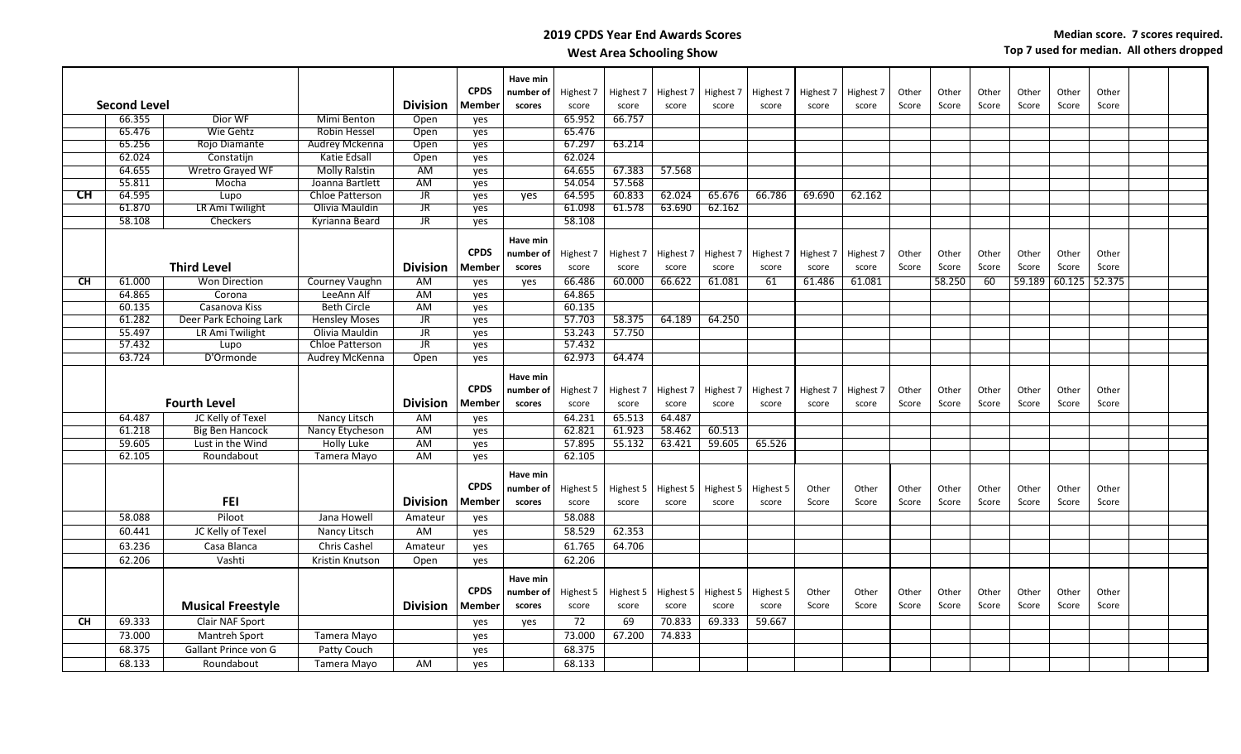|           |                     |                          |                                    |                        |             | Have min            |                    |                    |                    |                    |                    |                |                |                |                |       |                |                 |       |  |
|-----------|---------------------|--------------------------|------------------------------------|------------------------|-------------|---------------------|--------------------|--------------------|--------------------|--------------------|--------------------|----------------|----------------|----------------|----------------|-------|----------------|-----------------|-------|--|
|           |                     |                          |                                    |                        | <b>CPDS</b> | number of           | Highest 7          | Highest 7          | Highest 7          | Highest 7          | Highest 7          | Highest 7      | Highest 7      | Other          | Other          | Other | Other          | Other           | Other |  |
|           | <b>Second Level</b> |                          |                                    | <b>Division</b>        | Member      | scores              | score              | score              | score              | score              | score              | score          | score          | Score          | Score          | Score | Score          | Score           | Score |  |
|           | 66.355<br>65.476    | Dior WF<br>Wie Gehtz     | <b>Mimi Benton</b><br>Robin Hessel | Open<br>Open           | yes         |                     | 65.952<br>65.476   | 66.757             |                    |                    |                    |                |                |                |                |       |                |                 |       |  |
|           | 65.256              | Rojo Diamante            | Audrey Mckenna                     | Open                   | yes         |                     | 67.297             | 63.214             |                    |                    |                    |                |                |                |                |       |                |                 |       |  |
|           | 62.024              | Constatijn               | Katie Edsall                       | Open                   | yes<br>yes  |                     | 62.024             |                    |                    |                    |                    |                |                |                |                |       |                |                 |       |  |
|           | 64.655              | <b>Wretro Grayed WF</b>  | <b>Molly Ralstin</b>               | AM                     |             |                     | 64.655             | 67.383             | 57.568             |                    |                    |                |                |                |                |       |                |                 |       |  |
|           | 55.811              | Mocha                    | Joanna Bartlett                    | <b>AM</b>              | yes<br>yes  |                     | 54.054             | 57.568             |                    |                    |                    |                |                |                |                |       |                |                 |       |  |
| <b>CH</b> | 64.595              | Lupo                     | <b>Chloe Patterson</b>             | JR                     | yes         | yes                 | 64.595             | 60.833             | 62.024             | 65.676             | 66.786             | 69.690         | 62.162         |                |                |       |                |                 |       |  |
|           | 61.870              | LR Ami Twilight          | Olivia Mauldin                     | $\overline{\text{J}R}$ | yes         |                     | 61.098             | 61.578             | 63.690             | 62.162             |                    |                |                |                |                |       |                |                 |       |  |
|           | 58.108              | <b>Checkers</b>          | Kyrianna Beard                     | $\overline{\text{JR}}$ | yes         |                     | 58.108             |                    |                    |                    |                    |                |                |                |                |       |                |                 |       |  |
|           |                     |                          |                                    |                        |             |                     |                    |                    |                    |                    |                    |                |                |                |                |       |                |                 |       |  |
|           |                     |                          |                                    |                        |             | Have min            |                    |                    |                    |                    |                    |                |                |                |                |       |                |                 |       |  |
|           |                     |                          |                                    |                        | <b>CPDS</b> | number of           | Highest 7          | Highest 7          | Highest 7          | Highest 7          | Highest 7          | Highest 7      | Highest 7      | Other          | Other          | Other | Other          | Other           | Other |  |
|           |                     | <b>Third Level</b>       |                                    | <b>Division</b>        | Member      | scores              | score              | score              | score              | score              | score              | score          | score          | Score          | Score          | Score | Score          | Score           | Score |  |
| <b>CH</b> | 61.000              | <b>Won Direction</b>     | Courney Vaughn                     | AM                     | yes         | yes                 | 66.486             | 60.000             | 66.622             | 61.081             | 61                 | 61.486         | 61.081         |                | 58.250         | 60    | 59.189         | $60.125$ 52.375 |       |  |
|           | 64.865              | Corona                   | LeeAnn Alf                         | AM                     | yes         |                     | 64.865             |                    |                    |                    |                    |                |                |                |                |       |                |                 |       |  |
|           | 60.135              | Casanova Kiss            | <b>Beth Circle</b>                 | AM                     | yes         |                     | 60.135             |                    |                    |                    |                    |                |                |                |                |       |                |                 |       |  |
|           | 61.282              | Deer Park Echoing Lark   | <b>Hensley Moses</b>               | JR                     | yes         |                     | 57.703             | 58.375             | 64.189             | 64.250             |                    |                |                |                |                |       |                |                 |       |  |
|           | 55.497              | LR Ami Twilight          | Olivia Mauldin                     | <b>JR</b>              | yes         |                     | 53.243             | 57.750             |                    |                    |                    |                |                |                |                |       |                |                 |       |  |
|           | 57.432              | Lupo                     | <b>Chloe Patterson</b>             | $\overline{\text{IR}}$ | yes         |                     | 57.432             |                    |                    |                    |                    |                |                |                |                |       |                |                 |       |  |
|           | 63.724              | D'Ormonde                | Audrey McKenna                     | Open                   | yes         |                     | 62.973             | 64.474             |                    |                    |                    |                |                |                |                |       |                |                 |       |  |
|           |                     |                          |                                    |                        |             | Have min            |                    |                    |                    |                    |                    |                |                |                |                |       |                |                 |       |  |
|           |                     |                          |                                    |                        | <b>CPDS</b> | number of           | Highest 7          | Highest 7          | Highest 7          | Highest 7          | Highest 7          | Highest 7      | Highest 7      | Other          | Other          | Other | Other          | Other           | Other |  |
|           |                     | <b>Fourth Level</b>      |                                    | <b>Division</b>        | Member      | scores              | score              | score              | score              | score              | score              | score          | score          | Score          | Score          | Score | Score          | Score           | Score |  |
|           | 64.487              | JC Kelly of Texel        | Nancy Litsch                       | AM                     | yes         |                     | 64.231             | 65.513             | 64.487             |                    |                    |                |                |                |                |       |                |                 |       |  |
|           | 61.218              | <b>Big Ben Hancock</b>   | Nancy Etycheson                    | AM                     | yes         |                     | 62.821             | 61.923             | 58.462             | 60.513             |                    |                |                |                |                |       |                |                 |       |  |
|           | 59.605              | Lust in the Wind         | Holly Luke                         | AM                     | yes         |                     | 57.895             | 55.132             | 63.421             | 59.605             | 65.526             |                |                |                |                |       |                |                 |       |  |
|           | 62.105              | Roundabout               | Tamera Mayo                        | AM                     | yes         |                     | 62.105             |                    |                    |                    |                    |                |                |                |                |       |                |                 |       |  |
|           |                     |                          |                                    |                        |             | Have min            |                    |                    |                    |                    |                    |                |                |                |                |       |                |                 |       |  |
|           |                     |                          |                                    |                        | <b>CPDS</b> | number of           | Highest 5          | Highest 5          | Highest 5          | Highest 5          | Highest 5          | Other          | Other          | Other          | Other          | Other | Other          | Other           | Other |  |
|           |                     | <b>FEI</b>               |                                    | <b>Division</b>        | Member      | scores              | score              | score              | score              | score              | score              | Score          | Score          | Score          | Score          | Score | Score          | Score           | Score |  |
|           | 58.088              | Piloot                   | Jana Howell                        | Amateur                | yes         |                     | 58.088             |                    |                    |                    |                    |                |                |                |                |       |                |                 |       |  |
|           | 60.441              | JC Kelly of Texel        | Nancy Litsch                       | AM                     | ves         |                     | 58.529             | 62.353             |                    |                    |                    |                |                |                |                |       |                |                 |       |  |
|           | 63.236              | Casa Blanca              | Chris Cashel                       | Amateur                | yes         |                     | 61.765             | 64.706             |                    |                    |                    |                |                |                |                |       |                |                 |       |  |
|           | 62.206              | Vashti                   | <b>Kristin Knutson</b>             | Open                   | yes         |                     | 62.206             |                    |                    |                    |                    |                |                |                |                |       |                |                 |       |  |
|           |                     |                          |                                    |                        |             |                     |                    |                    |                    |                    |                    |                |                |                |                |       |                |                 |       |  |
|           |                     |                          |                                    |                        | <b>CPDS</b> | Have min            |                    |                    |                    |                    |                    |                |                |                |                | Other |                |                 | Other |  |
|           |                     | <b>Musical Freestyle</b> |                                    | <b>Division</b>        | Member      | number of<br>scores | Highest 5<br>score | Highest 5<br>score | Highest 5<br>score | Highest 5<br>score | Highest 5<br>score | Other<br>Score | Other<br>Score | Other<br>Score | Other<br>Score | Score | Other<br>Score | Other<br>Score  | Score |  |
| <b>CH</b> | 69.333              | Clair NAF Sport          |                                    |                        |             |                     | 72                 | 69                 | 70.833             | 69.333             | 59.667             |                |                |                |                |       |                |                 |       |  |
|           | 73.000              | <b>Mantreh Sport</b>     | Tamera Mayo                        |                        | yes<br>yes  | yes                 | 73.000             | 67.200             | 74.833             |                    |                    |                |                |                |                |       |                |                 |       |  |
|           | 68.375              |                          |                                    |                        |             |                     | 68.375             |                    |                    |                    |                    |                |                |                |                |       |                |                 |       |  |
|           |                     | Gallant Prince von G     | Patty Couch                        |                        | yes         |                     |                    |                    |                    |                    |                    |                |                |                |                |       |                |                 |       |  |
|           | 68.133              | Roundabout               | Tamera Mayo                        | AM                     | ves         |                     | 68.133             |                    |                    |                    |                    |                |                |                |                |       |                |                 |       |  |